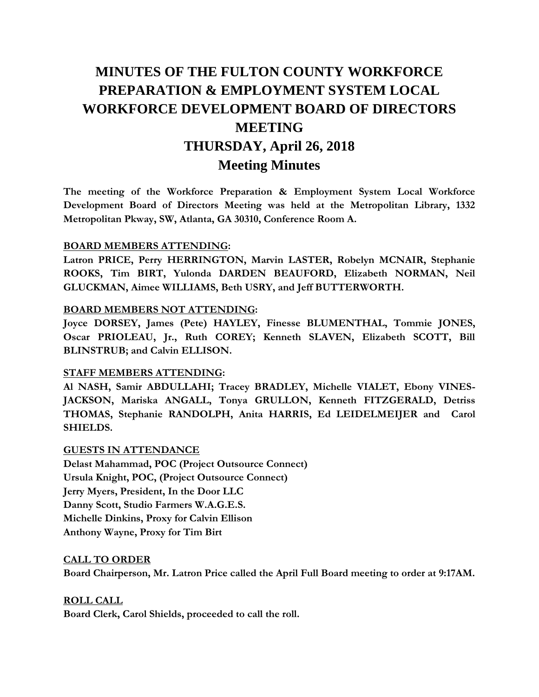# **MINUTES OF THE FULTON COUNTY WORKFORCE PREPARATION & EMPLOYMENT SYSTEM LOCAL WORKFORCE DEVELOPMENT BOARD OF DIRECTORS MEETING THURSDAY, April 26, 2018 Meeting Minutes**

**The meeting of the Workforce Preparation & Employment System Local Workforce Development Board of Directors Meeting was held at the Metropolitan Library, 1332 Metropolitan Pkway, SW, Atlanta, GA 30310, Conference Room A.** 

#### **BOARD MEMBERS ATTENDING:**

**Latron PRICE, Perry HERRINGTON, Marvin LASTER, Robelyn MCNAIR, Stephanie ROOKS, Tim BIRT, Yulonda DARDEN BEAUFORD, Elizabeth NORMAN, Neil GLUCKMAN, Aimee WILLIAMS, Beth USRY, and Jeff BUTTERWORTH.** 

#### **BOARD MEMBERS NOT ATTENDING:**

**Joyce DORSEY, James (Pete) HAYLEY, Finesse BLUMENTHAL, Tommie JONES, Oscar PRIOLEAU, Jr., Ruth COREY; Kenneth SLAVEN, Elizabeth SCOTT, Bill BLINSTRUB; and Calvin ELLISON.** 

#### **STAFF MEMBERS ATTENDING:**

**Al NASH, Samir ABDULLAHI; Tracey BRADLEY, Michelle VIALET, Ebony VINES-JACKSON, Mariska ANGALL, Tonya GRULLON, Kenneth FITZGERALD, Detriss THOMAS, Stephanie RANDOLPH, Anita HARRIS, Ed LEIDELMEIJER and Carol SHIELDS.**

#### **GUESTS IN ATTENDANCE**

**Delast Mahammad, POC (Project Outsource Connect) Ursula Knight, POC, (Project Outsource Connect) Jerry Myers, President, In the Door LLC Danny Scott, Studio Farmers W.A.G.E.S. Michelle Dinkins, Proxy for Calvin Ellison Anthony Wayne, Proxy for Tim Birt** 

#### **CALL TO ORDER**

**Board Chairperson, Mr. Latron Price called the April Full Board meeting to order at 9:17AM.** 

**ROLL CALL** 

**Board Clerk, Carol Shields, proceeded to call the roll.**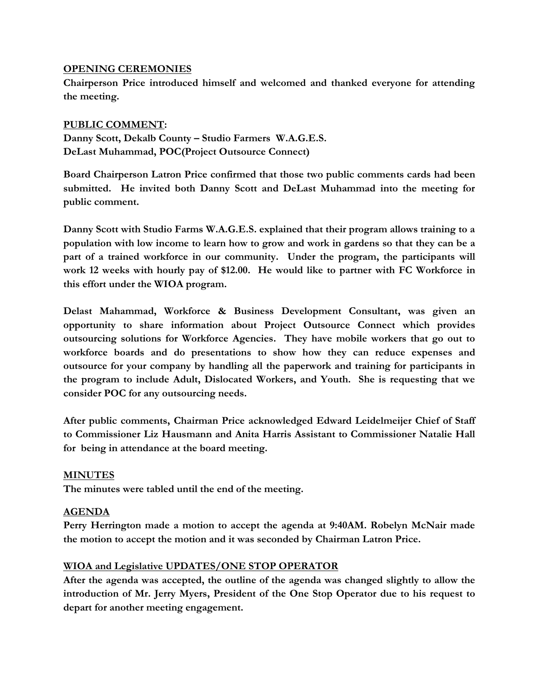## **OPENING CEREMONIES**

**Chairperson Price introduced himself and welcomed and thanked everyone for attending the meeting.** 

## **PUBLIC COMMENT:**

**Danny Scott, Dekalb County – Studio Farmers W.A.G.E.S. DeLast Muhammad, POC(Project Outsource Connect)**

**Board Chairperson Latron Price confirmed that those two public comments cards had been submitted. He invited both Danny Scott and DeLast Muhammad into the meeting for public comment.**

**Danny Scott with Studio Farms W.A.G.E.S. explained that their program allows training to a population with low income to learn how to grow and work in gardens so that they can be a part of a trained workforce in our community. Under the program, the participants will work 12 weeks with hourly pay of \$12.00. He would like to partner with FC Workforce in this effort under the WIOA program.**

**Delast Mahammad, Workforce & Business Development Consultant, was given an opportunity to share information about Project Outsource Connect which provides outsourcing solutions for Workforce Agencies. They have mobile workers that go out to workforce boards and do presentations to show how they can reduce expenses and outsource for your company by handling all the paperwork and training for participants in the program to include Adult, Dislocated Workers, and Youth. She is requesting that we consider POC for any outsourcing needs.** 

**After public comments, Chairman Price acknowledged Edward Leidelmeijer Chief of Staff to Commissioner Liz Hausmann and Anita Harris Assistant to Commissioner Natalie Hall for being in attendance at the board meeting.**

#### **MINUTES**

**The minutes were tabled until the end of the meeting.**

#### **AGENDA**

**Perry Herrington made a motion to accept the agenda at 9:40AM. Robelyn McNair made the motion to accept the motion and it was seconded by Chairman Latron Price.** 

# **WIOA and Legislative UPDATES/ONE STOP OPERATOR**

**After the agenda was accepted, the outline of the agenda was changed slightly to allow the introduction of Mr. Jerry Myers, President of the One Stop Operator due to his request to depart for another meeting engagement.**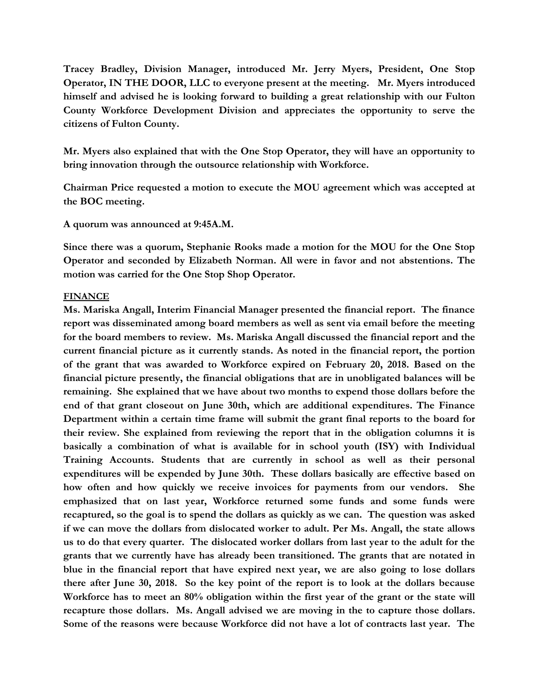**Tracey Bradley, Division Manager, introduced Mr. Jerry Myers, President, One Stop Operator, IN THE DOOR, LLC to everyone present at the meeting. Mr. Myers introduced himself and advised he is looking forward to building a great relationship with our Fulton County Workforce Development Division and appreciates the opportunity to serve the citizens of Fulton County.**

**Mr. Myers also explained that with the One Stop Operator, they will have an opportunity to bring innovation through the outsource relationship with Workforce.**

**Chairman Price requested a motion to execute the MOU agreement which was accepted at the BOC meeting.** 

**A quorum was announced at 9:45A.M.**

**Since there was a quorum, Stephanie Rooks made a motion for the MOU for the One Stop Operator and seconded by Elizabeth Norman. All were in favor and not abstentions. The motion was carried for the One Stop Shop Operator.** 

#### **FINANCE**

**Ms. Mariska Angall, Interim Financial Manager presented the financial report. The finance report was disseminated among board members as well as sent via email before the meeting for the board members to review. Ms. Mariska Angall discussed the financial report and the current financial picture as it currently stands. As noted in the financial report, the portion of the grant that was awarded to Workforce expired on February 20, 2018. Based on the financial picture presently, the financial obligations that are in unobligated balances will be remaining. She explained that we have about two months to expend those dollars before the end of that grant closeout on June 30th, which are additional expenditures. The Finance Department within a certain time frame will submit the grant final reports to the board for their review. She explained from reviewing the report that in the obligation columns it is basically a combination of what is available for in school youth (ISY) with Individual Training Accounts. Students that are currently in school as well as their personal expenditures will be expended by June 30th. These dollars basically are effective based on how often and how quickly we receive invoices for payments from our vendors. She emphasized that on last year, Workforce returned some funds and some funds were recaptured, so the goal is to spend the dollars as quickly as we can. The question was asked if we can move the dollars from dislocated worker to adult. Per Ms. Angall, the state allows us to do that every quarter. The dislocated worker dollars from last year to the adult for the grants that we currently have has already been transitioned. The grants that are notated in blue in the financial report that have expired next year, we are also going to lose dollars there after June 30, 2018. So the key point of the report is to look at the dollars because Workforce has to meet an 80% obligation within the first year of the grant or the state will recapture those dollars. Ms. Angall advised we are moving in the to capture those dollars. Some of the reasons were because Workforce did not have a lot of contracts last year. The**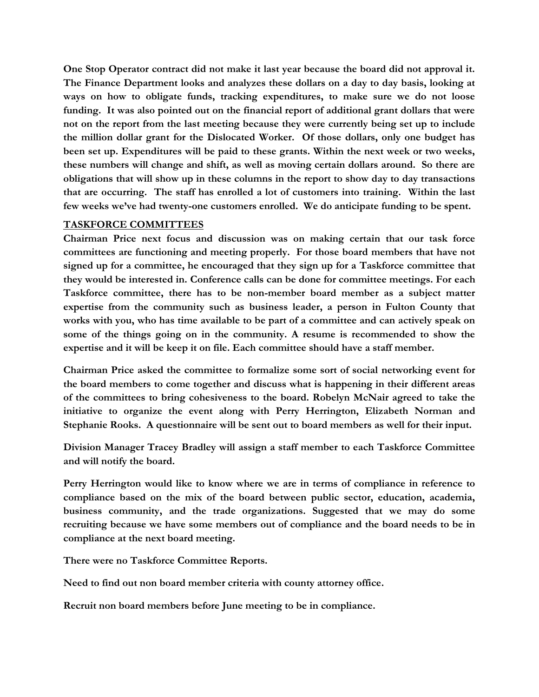**One Stop Operator contract did not make it last year because the board did not approval it. The Finance Department looks and analyzes these dollars on a day to day basis, looking at ways on how to obligate funds, tracking expenditures, to make sure we do not loose funding. It was also pointed out on the financial report of additional grant dollars that were not on the report from the last meeting because they were currently being set up to include the million dollar grant for the Dislocated Worker. Of those dollars, only one budget has been set up. Expenditures will be paid to these grants. Within the next week or two weeks, these numbers will change and shift, as well as moving certain dollars around. So there are obligations that will show up in these columns in the report to show day to day transactions that are occurring. The staff has enrolled a lot of customers into training. Within the last few weeks we've had twenty-one customers enrolled. We do anticipate funding to be spent.**

#### **TASKFORCE COMMITTEES**

**Chairman Price next focus and discussion was on making certain that our task force committees are functioning and meeting properly. For those board members that have not signed up for a committee, he encouraged that they sign up for a Taskforce committee that they would be interested in. Conference calls can be done for committee meetings. For each Taskforce committee, there has to be non-member board member as a subject matter expertise from the community such as business leader, a person in Fulton County that works with you, who has time available to be part of a committee and can actively speak on some of the things going on in the community. A resume is recommended to show the expertise and it will be keep it on file. Each committee should have a staff member.** 

**Chairman Price asked the committee to formalize some sort of social networking event for the board members to come together and discuss what is happening in their different areas of the committees to bring cohesiveness to the board. Robelyn McNair agreed to take the initiative to organize the event along with Perry Herrington, Elizabeth Norman and Stephanie Rooks. A questionnaire will be sent out to board members as well for their input.** 

**Division Manager Tracey Bradley will assign a staff member to each Taskforce Committee and will notify the board.**

**Perry Herrington would like to know where we are in terms of compliance in reference to compliance based on the mix of the board between public sector, education, academia, business community, and the trade organizations. Suggested that we may do some recruiting because we have some members out of compliance and the board needs to be in compliance at the next board meeting.** 

**There were no Taskforce Committee Reports.** 

**Need to find out non board member criteria with county attorney office.**

**Recruit non board members before June meeting to be in compliance.**